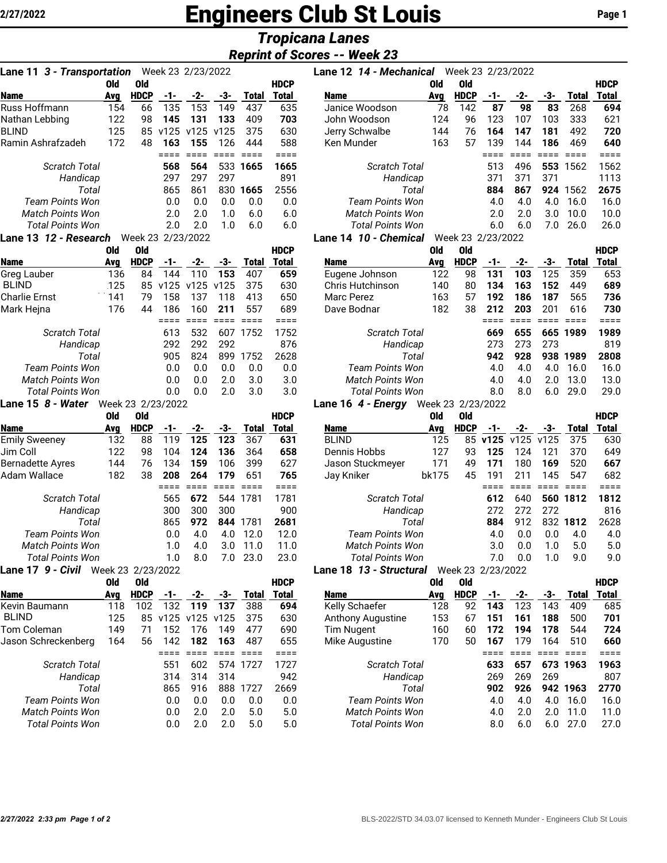# 2/27/2022 **Engineers Club St Louis** Page 1

## *Tropicana Lanes*

### *Reprint of Scores -- Week 23*

| Week 23 2/23/2022<br>Lane 11 3 - Transportation |     |             |                   |      |      |          |             |  |  |  |  |  |  |
|-------------------------------------------------|-----|-------------|-------------------|------|------|----------|-------------|--|--|--|--|--|--|
|                                                 | Old | 0ld         |                   |      |      |          | <b>HDCP</b> |  |  |  |  |  |  |
| <b>Name</b>                                     | Ava | <b>HDCP</b> | -1-               | -2-  | -3-  | Total    | Total       |  |  |  |  |  |  |
| Russ Hoffmann                                   | 154 | 66          | 135               | 153  | 149  | 437      | 635         |  |  |  |  |  |  |
| Nathan Lebbing                                  | 122 | 98          | 145               | 131  | 133  | 409      | 703         |  |  |  |  |  |  |
| <b>BLIND</b>                                    | 125 | 85          | v125              | v125 | v125 | 375      | 630         |  |  |  |  |  |  |
| Ramin Ashrafzadeh                               | 172 | 48          | 163               | 155  | 126  | 444      | 588         |  |  |  |  |  |  |
|                                                 |     |             |                   |      |      |          | $==$        |  |  |  |  |  |  |
| Scratch Total                                   |     |             | 568               | 564  |      | 533 1665 | 1665        |  |  |  |  |  |  |
| Handicap                                        |     |             | 297               | 297  | 297  |          | 891         |  |  |  |  |  |  |
| Total                                           |     |             | 865               | 861  | 830  | 1665     | 2556        |  |  |  |  |  |  |
| <b>Team Points Won</b>                          |     |             | 0.0               | 0.0  | 0.0  | 0.0      | 0.0         |  |  |  |  |  |  |
| Match Points Won                                |     |             | 2.0               | 2.0  | 1.0  | 6.0      | 6.0         |  |  |  |  |  |  |
| Total Points Won                                |     |             | 2.0               | 2.0  | 1.0  | 6.0      | 6.0         |  |  |  |  |  |  |
| Lane 13 <i>12 - Research</i>                    |     |             | Week 23 2/23/2022 |      |      |          |             |  |  |  |  |  |  |

| 0ld | Old         |      |      |      |              | <b>HDCP</b> |
|-----|-------------|------|------|------|--------------|-------------|
| Avg | <b>HDCP</b> | -1-  | -2-  | -3-  | <b>Total</b> | Total       |
| 136 | 84          | 144  | 110  | 153  | 407          | 659         |
| 125 | 85          | v125 | v125 | v125 | 375          | 630         |
| 141 | 79          | 158  | 137  | 118  | 413          | 650         |
| 176 | 44          | 186  | 160  | 211  | 557          | 689         |
|     |             |      |      |      |              |             |
|     |             | 613  | 532  | 607  | 1752         | 1752        |
|     |             | 292  | 292  | 292  |              | 876         |
|     |             | 905  | 824  | 899  | 1752         | 2628        |
|     |             | 0.0  | 0.0  | 0.0  | 0.0          | 0.0         |
|     |             | 0.0  | 0.0  | 2.0  | 3.0          | 3.0         |
|     |             | 0.0  | 0.0  | 2.0  | 3.0          | 3.0         |
|     |             |      |      |      |              |             |

#### Lane 15 *8 - Water* Week 23 2/23/2022

|                         | Old | 0ld               |     |     |     |          | <b>HDCP</b> |
|-------------------------|-----|-------------------|-----|-----|-----|----------|-------------|
| Name                    | Avg | <b>HDCP</b>       | -1- | -2- | -3- | Total    | Total       |
| <b>Emily Sweeney</b>    | 132 | 88                | 119 | 125 | 123 | 367      | 631         |
| Jim Coll                | 122 | 98                | 104 | 124 | 136 | 364      | 658         |
| <b>Bernadette Ayres</b> | 144 | 76                | 134 | 159 | 106 | 399      | 627         |
| Adam Wallace            | 182 | 38                | 208 | 264 | 179 | 651      | 765         |
|                         |     |                   |     |     |     |          |             |
| Scratch Total           |     |                   | 565 | 672 |     | 544 1781 | 1781        |
| Handicap                |     |                   | 300 | 300 | 300 |          | 900         |
| Total                   |     |                   | 865 | 972 | 844 | 1781     | 2681        |
| <b>Team Points Won</b>  |     |                   | 0.0 | 4.0 | 4.0 | 12.0     | 12.0        |
| Match Points Won        |     |                   | 1.0 | 4.0 | 3.0 | 11.0     | 11.0        |
| <b>Total Points Won</b> |     |                   | 1.0 | 8.0 | 7.0 | 23.0     | 23.0        |
| 9 - Civil<br>Lane 17    |     | Week 23 2/23/2022 |     |     |     |          |             |

|                     | vıa | via         |     |                   |     |          | HDCP  |
|---------------------|-----|-------------|-----|-------------------|-----|----------|-------|
| Name                | Avg | <b>HDCP</b> | -1- | -2-               | -3- | Total    | Total |
| Kevin Baumann       | 118 | 102         | 132 | 119               | 137 | 388      | 694   |
| <b>BLIND</b>        | 125 |             |     | 85 v125 v125 v125 |     | 375      | 630   |
| Tom Coleman         | 149 | 71          | 152 | 176               | 149 | 477      | 690   |
| Jason Schreckenberg | 164 | 56          | 142 | 182               | 163 | 487      | 655   |
|                     |     |             |     |                   |     |          |       |
| Scratch Total       |     |             | 551 | 602               |     | 574 1727 | 1727  |
| Handicap            |     |             | 314 | 314               | 314 |          | 942   |
| Total               |     |             | 865 | 916               | 888 | 1727     | 2669  |
| Team Points Won     |     |             | 0.0 | 0.0               | 0.0 | 0.0      | 0.0   |
| Match Points Won    |     |             | 0.0 | 2.0               | 2.0 | 5.0      | 5.0   |
| Total Points Won    |     |             | 0.0 | 2.0               | 2.0 | 5.0      | 5.0   |
|                     |     |             |     |                   |     |          |       |

| Lane 11 3 - Transportation |     |             |      | Week 23 2/23/2022 |      |              |             | Lane 12 14 - Mechanical |     | Week 23 2/23/2022      |     |     |     |              |             |
|----------------------------|-----|-------------|------|-------------------|------|--------------|-------------|-------------------------|-----|------------------------|-----|-----|-----|--------------|-------------|
|                            | Old | Old         |      |                   |      |              | <b>HDCP</b> |                         | 0ld | 0ld                    |     |     |     |              | <b>HDCP</b> |
| Name                       | Ava | <b>HDCP</b> | -1-  | -2-               | -3-  | <b>Total</b> | Total       | <b>Name</b>             | Avg | <b>HDCP</b>            | -1- | -2- | -3- | <b>Total</b> | Total       |
| Russ Hoffmann              | 154 | 66          | 135  | 153               | 149  | 437          | 635         | Janice Woodson          | 78  | 142                    | 87  | 98  | 83  | 268          | 694         |
| Nathan Lebbing             | 122 | 98          | 145  | 131               | 133  | 409          | 703         | John Woodson            | 124 | 96                     | 123 | 107 | 103 | 333          | 621         |
| BLIND                      | 125 | 85.         | v125 | v125              | v125 | 375          | 630         | Jerry Schwalbe          | 144 | 76                     | 164 | 147 | 181 | 492          | 720         |
| Ramin Ashrafzadeh          | 172 | 48          | 163  | 155               | 126  | 444          | 588         | Ken Munder              | 163 | 57                     | 139 | 144 | 186 | 469          | 640         |
|                            |     |             |      |                   |      |              |             |                         |     |                        |     |     |     |              |             |
| <b>Scratch Total</b>       |     |             | 568  | 564               |      | 533 1665     | 1665        | <b>Scratch Total</b>    |     |                        | 513 | 496 | 553 | 1562         | 1562        |
| Handicap                   |     |             | 297  | 297               | 297  |              | 891         | Handicap                |     |                        | 371 | 371 | 371 |              | 1113        |
| Total                      |     |             | 865  | 861               | 830  | 1665         | 2556        | Total                   |     |                        | 884 | 867 | 924 | 1562         | 2675        |
| Team Points Won            |     |             | 0.0  | 0.0               | 0.0  | 0.0          | 0.0         | <b>Team Points Won</b>  |     |                        | 4.0 | 4.0 | 4.0 | 16.0         | 16.0        |
| <b>Match Points Won</b>    |     |             | 2.0  | 2.0               | 1.0  | 6.0          | 6.0         | <b>Match Points Won</b> |     |                        | 2.0 | 2.0 | 3.0 | 10.0         | 10.0        |
| <b>Total Points Won</b>    |     |             | 2.0  | 2.0               | 1.0  | 6.0          | 6.0         | <b>Total Points Won</b> |     |                        | 6.0 | 6.0 | 7.0 | 26.0         | 26.0        |
| ano 12 12 - Decearch       |     |             |      | Maak 22 2/22/2022 |      |              |             | ano 11 10 - Chamical    |     | ררחרו כרו ח' כם וההווו |     |     |     |              |             |

#### Lane 14 *10 - Chemical* Week 23 2/23/2022

| <b>HDCP</b>      |
|------------------|
| Total<br>Total   |
| 653<br>359       |
| 689<br>449       |
| 565<br>736       |
| 616<br>730       |
|                  |
| 1989<br>665 1989 |
| 819              |
| 2808<br>1989     |
| 16.0<br>16.0     |
| 13.0<br>13.0     |
| 29.0<br>29.O     |
|                  |

#### Lane 16 *4 - Energy* Week 23 2/23/2022

|                         | 0ld | Old               |     |     |     |              | <b>HDCP</b>   |                         | 0ld   | 0ld               |      |      |      |       | <b>HDCP</b> |
|-------------------------|-----|-------------------|-----|-----|-----|--------------|---------------|-------------------------|-------|-------------------|------|------|------|-------|-------------|
| Name                    | Avg | <b>HDCP</b>       | -1- | -2- | -3- | Total        | Total         | <b>Name</b>             | Avg   | <b>HDCP</b>       |      | -2-  | -3-  | Total | Total       |
| <b>Emily Sweeney</b>    | 132 | 88                | 119 | 125 | 123 | 367          | 631           | <b>BLIND</b>            | 125   | 85                | v125 | v125 | v125 | 375   | 630         |
| Jim Coll                | 122 | 98                | 104 | 124 | 136 | 364          | 658           | Dennis Hobbs            | 127   | 93                | 125  | 124  | 121  | 370   | 649         |
| Bernadette Ayres        | 144 | 76                | 134 | 159 | 106 | 399          | 627           | Jason Stuckmeyer        | 171   | 49                | 171  | 180  | 169  | 520   | 667         |
| Adam Wallace            | 182 | 38                | 208 | 264 | 179 | 651          | 765           | Jay Kniker              | bk175 | 45                | 191  | 211  | 145  | 547   | 682         |
|                         |     |                   |     |     |     |              |               |                         |       |                   |      |      |      |       |             |
| <b>Scratch Total</b>    |     |                   | 565 | 672 | 544 | 1781         | 1781          | <b>Scratch Total</b>    |       |                   | 612  | 640  | 560  | 1812  | 1812        |
| Handicap                |     |                   | 300 | 300 | 300 |              | 900           | Handicap                |       |                   | 272  | 272  | 272  |       | 816         |
| Total                   |     |                   | 865 | 972 | 844 | 1781         | 2681          | Total                   |       |                   | 884  | 912  | 832  | 1812  | 2628        |
| <b>Team Points Won</b>  |     |                   | 0.0 | 4.0 | 4.0 | 12.0         | 12.0          | <b>Team Points Won</b>  |       |                   | 4.0  | 0.0  | 0.0  | 4.0   | 4.0         |
| <b>Match Points Won</b> |     |                   | 1.0 | 4.0 | 3.0 | 11.0         | 11.0          | <b>Match Points Won</b> |       |                   | 3.0  | 0.0  | 1.0  | 5.0   | 5.0         |
| <b>Total Points Won</b> |     |                   | 1.0 | 8.0 | 7.0 | 23.0         | 23.0          | <b>Total Points Won</b> |       |                   | 7.0  | 0.0  | 1.0  | 9.0   | 9.0         |
| Lane 17 9 - Civil       |     | Week 23 2/23/2022 |     |     |     |              |               | Lane 18 13 - Structural |       | Week 23 2/23/2022 |      |      |      |       |             |
|                         | 0ld | 0ld               |     |     |     |              | <b>HDCP</b>   |                         | 0ld   | 0ld               |      |      |      |       | <b>HDCP</b> |
| Name                    | Avg | <b>HDCP</b>       | -1- | -2- | -3- | <b>Total</b> | <b>Total</b>  | <b>Name</b>             | Avg   | <b>HDCP</b>       | -1-  | -2-  | -3-  | Total | Total       |
| Kavin Daumann           | 110 | 100               | 100 | 110 | 127 | 000          | $\epsilon$ 04 | Kally Cahaafar          | 100   | nn.               | 140  | 100  | 110  | 100   | COE         |

|                   | лту |    |     |     | .,  | .        | .    |
|-------------------|-----|----|-----|-----|-----|----------|------|
| Kelly Schaefer    | 128 | 92 | 143 | 123 | 143 | 409      | 685  |
| Anthony Augustine | 153 | 67 | 151 | 161 | 188 | 500      | 701  |
| <b>Tim Nugent</b> | 160 | 60 | 172 | 194 | 178 | 544      | 724  |
| Mike Augustine    | 170 | 50 | 167 | 179 | 164 | 510      | 660  |
|                   |     |    |     |     |     |          |      |
| Scratch Total     |     |    | 633 | 657 |     | 673 1963 | 1963 |
| Handicap          |     |    | 269 | 269 | 269 |          | 807  |
| Total             |     |    | 902 | 926 |     | 942 1963 | 2770 |
| Team Points Won   |     |    | 4.0 | 4.0 | 4.0 | 16.0     | 16.0 |
| Match Points Won  |     |    | 4.0 | 2.0 | 2.0 | 11.0     | 11.0 |
| Total Points Won  |     |    | 8.0 | 6.0 | 6.0 | 27.0     | 27.0 |
|                   |     |    |     |     |     |          |      |